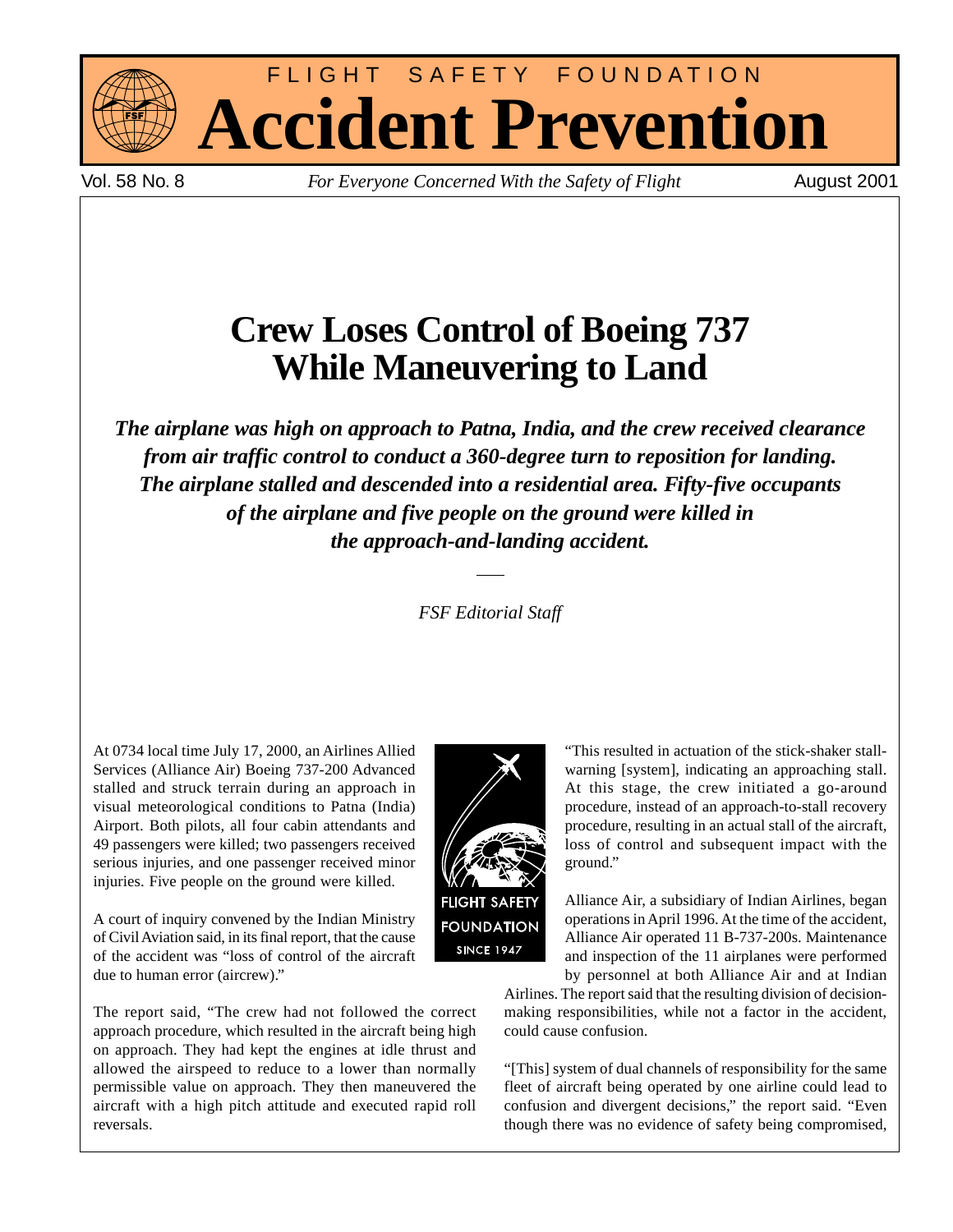



Vol. 58 No. 8 *For Everyone Concerned With the Safety of Flight* August 2001

# **Crew Loses Control of Boeing 737 While Maneuvering to Land**

*The airplane was high on approach to Patna, India, and the crew received clearance from air traffic control to conduct a 360-degree turn to reposition for landing. The airplane stalled and descended into a residential area. Fifty-five occupants of the airplane and five people on the ground were killed in the approach-and-landing accident.*

*FSF Editorial Staff*

At 0734 local time July 17, 2000, an Airlines Allied Services (Alliance Air) Boeing 737-200 Advanced stalled and struck terrain during an approach in visual meteorological conditions to Patna (India) Airport. Both pilots, all four cabin attendants and 49 passengers were killed; two passengers received serious injuries, and one passenger received minor injuries. Five people on the ground were killed.

A court of inquiry convened by the Indian Ministry of Civil Aviation said, in its final report, that the cause of the accident was "loss of control of the aircraft due to human error (aircrew)."

The report said, "The crew had not followed the correct approach procedure, which resulted in the aircraft being high on approach. They had kept the engines at idle thrust and allowed the airspeed to reduce to a lower than normally permissible value on approach. They then maneuvered the aircraft with a high pitch attitude and executed rapid roll reversals.



**FOUNDATION SINCE 1947** 

At this stage, the crew initiated a go-around procedure, instead of an approach-to-stall recovery procedure, resulting in an actual stall of the aircraft, loss of control and subsequent impact with the ground."

Alliance Air, a subsidiary of Indian Airlines, began operations in April 1996. At the time of the accident, Alliance Air operated 11 B-737-200s. Maintenance and inspection of the 11 airplanes were performed by personnel at both Alliance Air and at Indian

"This resulted in actuation of the stick-shaker stallwarning [system], indicating an approaching stall.

Airlines. The report said that the resulting division of decisionmaking responsibilities, while not a factor in the accident, could cause confusion.

"[This] system of dual channels of responsibility for the same fleet of aircraft being operated by one airline could lead to confusion and divergent decisions," the report said. "Even though there was no evidence of safety being compromised,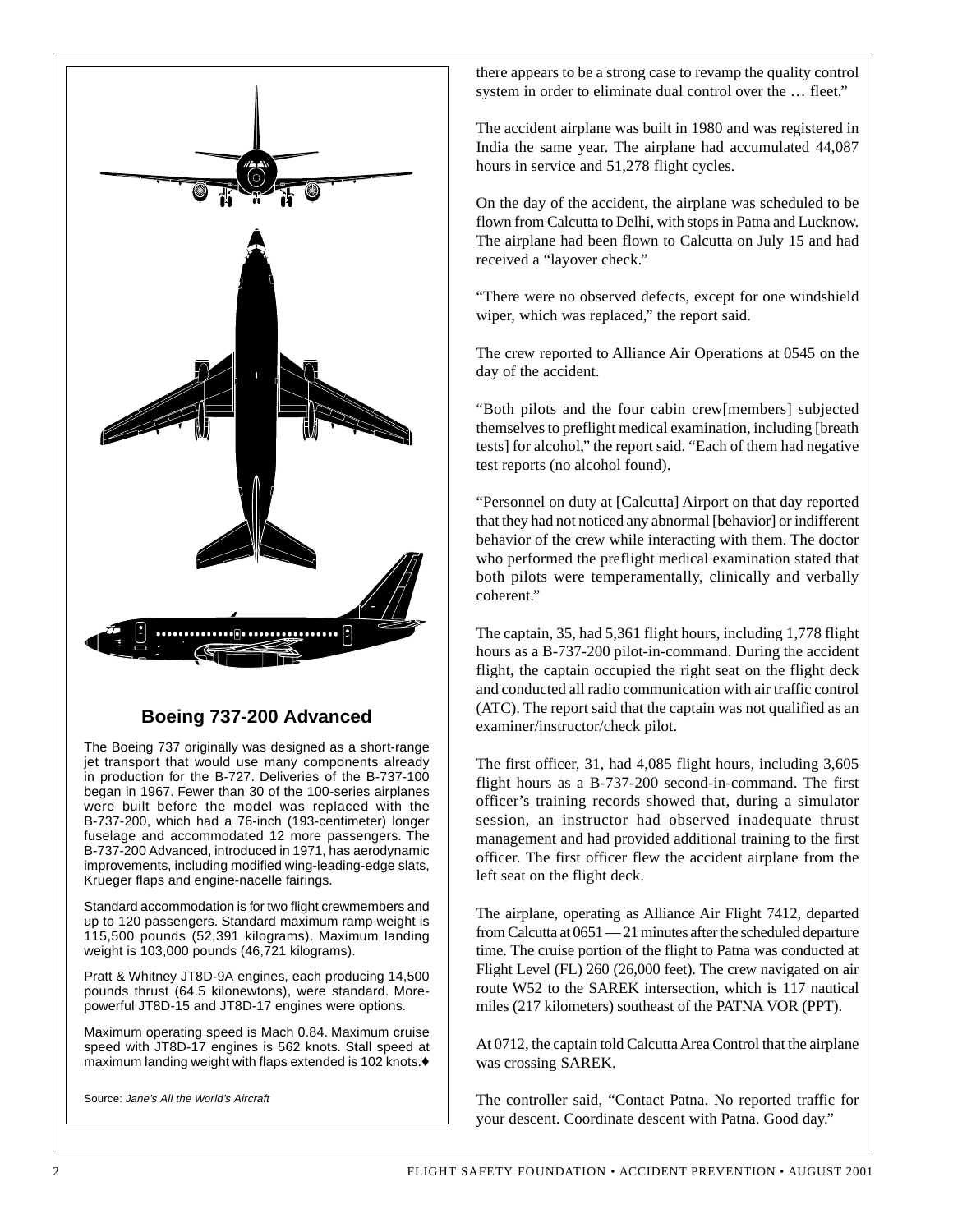

# **Boeing 737-200 Advanced**

The Boeing 737 originally was designed as a short-range jet transport that would use many components already in production for the B-727. Deliveries of the B-737-100 began in 1967. Fewer than 30 of the 100-series airplanes were built before the model was replaced with the B-737-200, which had a 76-inch (193-centimeter) longer fuselage and accommodated 12 more passengers. The B-737-200 Advanced, introduced in 1971, has aerodynamic improvements, including modified wing-leading-edge slats, Krueger flaps and engine-nacelle fairings.

Standard accommodation is for two flight crewmembers and up to 120 passengers. Standard maximum ramp weight is 115,500 pounds (52,391 kilograms). Maximum landing weight is 103,000 pounds (46,721 kilograms).

Pratt & Whitney JT8D-9A engines, each producing 14,500 pounds thrust (64.5 kilonewtons), were standard. Morepowerful JT8D-15 and JT8D-17 engines were options.

Maximum operating speed is Mach 0.84. Maximum cruise speed with JT8D-17 engines is 562 knots. Stall speed at maximum landing weight with flaps extended is 102 knots.♦

Source: Jane's All the World's Aircraft

there appears to be a strong case to revamp the quality control system in order to eliminate dual control over the ... fleet."

The accident airplane was built in 1980 and was registered in India the same year. The airplane had accumulated 44,087 hours in service and 51,278 flight cycles.

On the day of the accident, the airplane was scheduled to be flown from Calcutta to Delhi, with stops in Patna and Lucknow. The airplane had been flown to Calcutta on July 15 and had received a "layover check."

"There were no observed defects, except for one windshield wiper, which was replaced," the report said.

The crew reported to Alliance Air Operations at 0545 on the day of the accident.

"Both pilots and the four cabin crew[members] subjected themselves to preflight medical examination, including [breath tests] for alcohol," the report said. "Each of them had negative test reports (no alcohol found).

"Personnel on duty at [Calcutta] Airport on that day reported that they had not noticed any abnormal [behavior] or indifferent behavior of the crew while interacting with them. The doctor who performed the preflight medical examination stated that both pilots were temperamentally, clinically and verbally coherent."

The captain, 35, had 5,361 flight hours, including 1,778 flight hours as a B-737-200 pilot-in-command. During the accident flight, the captain occupied the right seat on the flight deck and conducted all radio communication with air traffic control (ATC). The report said that the captain was not qualified as an examiner/instructor/check pilot.

The first officer, 31, had 4,085 flight hours, including 3,605 flight hours as a B-737-200 second-in-command. The first officer's training records showed that, during a simulator session, an instructor had observed inadequate thrust management and had provided additional training to the first officer. The first officer flew the accident airplane from the left seat on the flight deck.

The airplane, operating as Alliance Air Flight 7412, departed from Calcutta at 0651 — 21 minutes after the scheduled departure time. The cruise portion of the flight to Patna was conducted at Flight Level (FL) 260 (26,000 feet). The crew navigated on air route W52 to the SAREK intersection, which is 117 nautical miles (217 kilometers) southeast of the PATNA VOR (PPT).

At 0712, the captain told Calcutta Area Control that the airplane was crossing SAREK.

The controller said, "Contact Patna. No reported traffic for your descent. Coordinate descent with Patna. Good day."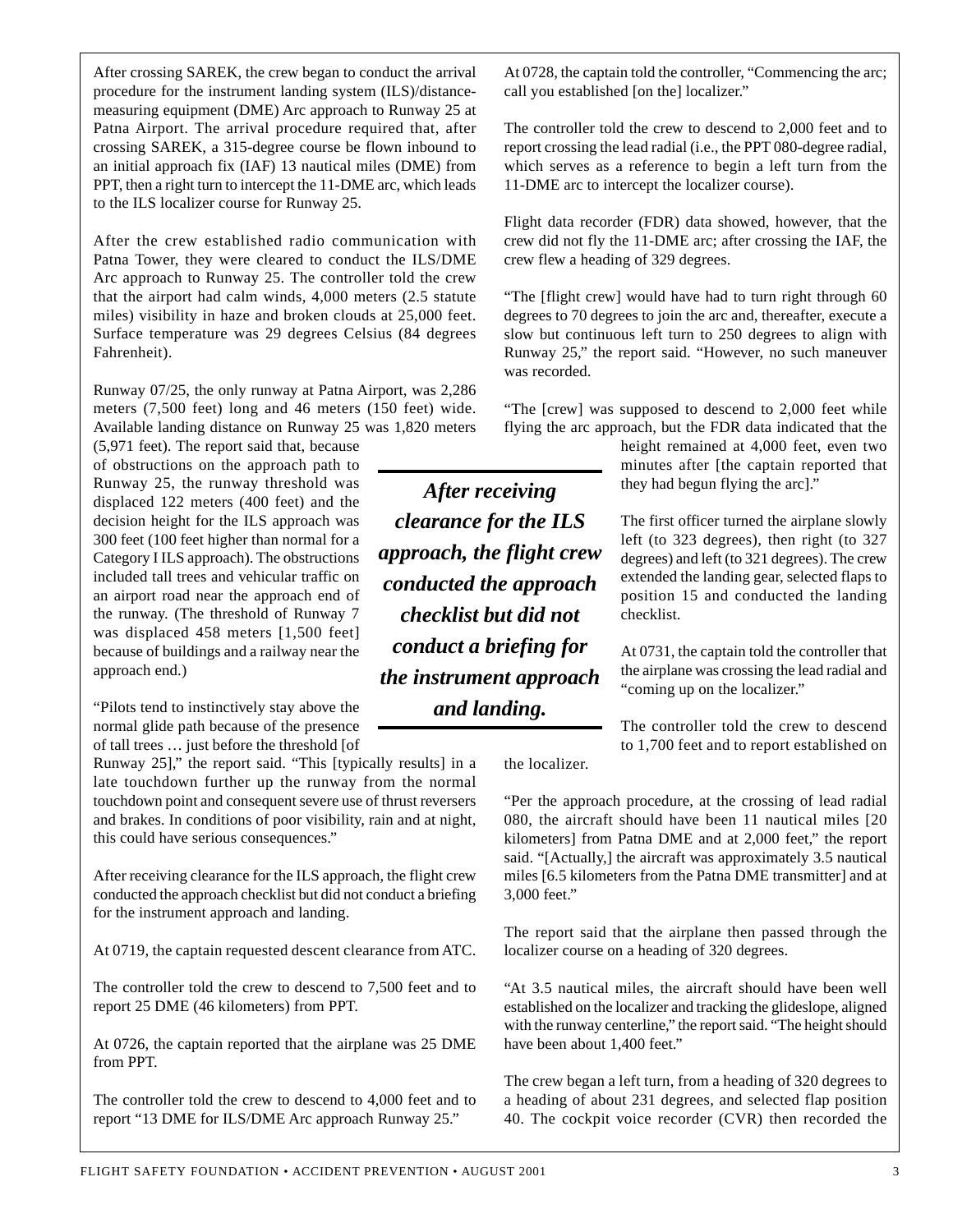After crossing SAREK, the crew began to conduct the arrival procedure for the instrument landing system (ILS)/distancemeasuring equipment (DME) Arc approach to Runway 25 at Patna Airport. The arrival procedure required that, after crossing SAREK, a 315-degree course be flown inbound to an initial approach fix (IAF) 13 nautical miles (DME) from PPT, then a right turn to intercept the 11-DME arc, which leads to the ILS localizer course for Runway 25.

After the crew established radio communication with Patna Tower, they were cleared to conduct the ILS/DME Arc approach to Runway 25. The controller told the crew that the airport had calm winds, 4,000 meters (2.5 statute miles) visibility in haze and broken clouds at 25,000 feet. Surface temperature was 29 degrees Celsius (84 degrees Fahrenheit).

Runway 07/25, the only runway at Patna Airport, was 2,286 meters (7,500 feet) long and 46 meters (150 feet) wide. Available landing distance on Runway 25 was 1,820 meters

(5,971 feet). The report said that, because of obstructions on the approach path to Runway 25, the runway threshold was displaced 122 meters (400 feet) and the decision height for the ILS approach was 300 feet (100 feet higher than normal for a Category I ILS approach). The obstructions included tall trees and vehicular traffic on an airport road near the approach end of the runway. (The threshold of Runway 7 was displaced 458 meters [1,500 feet] because of buildings and a railway near the approach end.)

"Pilots tend to instinctively stay above the normal glide path because of the presence of tall trees … just before the threshold [of

Runway 25]," the report said. "This [typically results] in a late touchdown further up the runway from the normal touchdown point and consequent severe use of thrust reversers and brakes. In conditions of poor visibility, rain and at night, this could have serious consequences."

After receiving clearance for the ILS approach, the flight crew conducted the approach checklist but did not conduct a briefing for the instrument approach and landing.

At 0719, the captain requested descent clearance from ATC.

The controller told the crew to descend to 7,500 feet and to report 25 DME (46 kilometers) from PPT.

At 0726, the captain reported that the airplane was 25 DME from PPT.

The controller told the crew to descend to 4,000 feet and to report "13 DME for ILS/DME Arc approach Runway 25."

At 0728, the captain told the controller, "Commencing the arc; call you established [on the] localizer."

The controller told the crew to descend to 2,000 feet and to report crossing the lead radial (i.e., the PPT 080-degree radial, which serves as a reference to begin a left turn from the 11-DME arc to intercept the localizer course).

Flight data recorder (FDR) data showed, however, that the crew did not fly the 11-DME arc; after crossing the IAF, the crew flew a heading of 329 degrees.

"The [flight crew] would have had to turn right through 60 degrees to 70 degrees to join the arc and, thereafter, execute a slow but continuous left turn to 250 degrees to align with Runway 25," the report said. "However, no such maneuver was recorded.

"The [crew] was supposed to descend to 2,000 feet while flying the arc approach, but the FDR data indicated that the

height remained at 4,000 feet, even two minutes after [the captain reported that they had begun flying the arc]."

The first officer turned the airplane slowly left (to 323 degrees), then right (to 327 degrees) and left (to 321 degrees). The crew extended the landing gear, selected flaps to position 15 and conducted the landing checklist.

At 0731, the captain told the controller that the airplane was crossing the lead radial and "coming up on the localizer."

The controller told the crew to descend to 1,700 feet and to report established on

the localizer.

"Per the approach procedure, at the crossing of lead radial 080, the aircraft should have been 11 nautical miles [20 kilometers] from Patna DME and at 2,000 feet," the report said. "[Actually,] the aircraft was approximately 3.5 nautical miles [6.5 kilometers from the Patna DME transmitter] and at 3,000 feet."

The report said that the airplane then passed through the localizer course on a heading of 320 degrees.

"At 3.5 nautical miles, the aircraft should have been well established on the localizer and tracking the glideslope, aligned with the runway centerline," the report said. "The height should have been about 1,400 feet."

The crew began a left turn, from a heading of 320 degrees to a heading of about 231 degrees, and selected flap position 40. The cockpit voice recorder (CVR) then recorded the

*After receiving clearance for the ILS approach, the flight crew conducted the approach checklist but did not conduct a briefing for the instrument approach and landing.*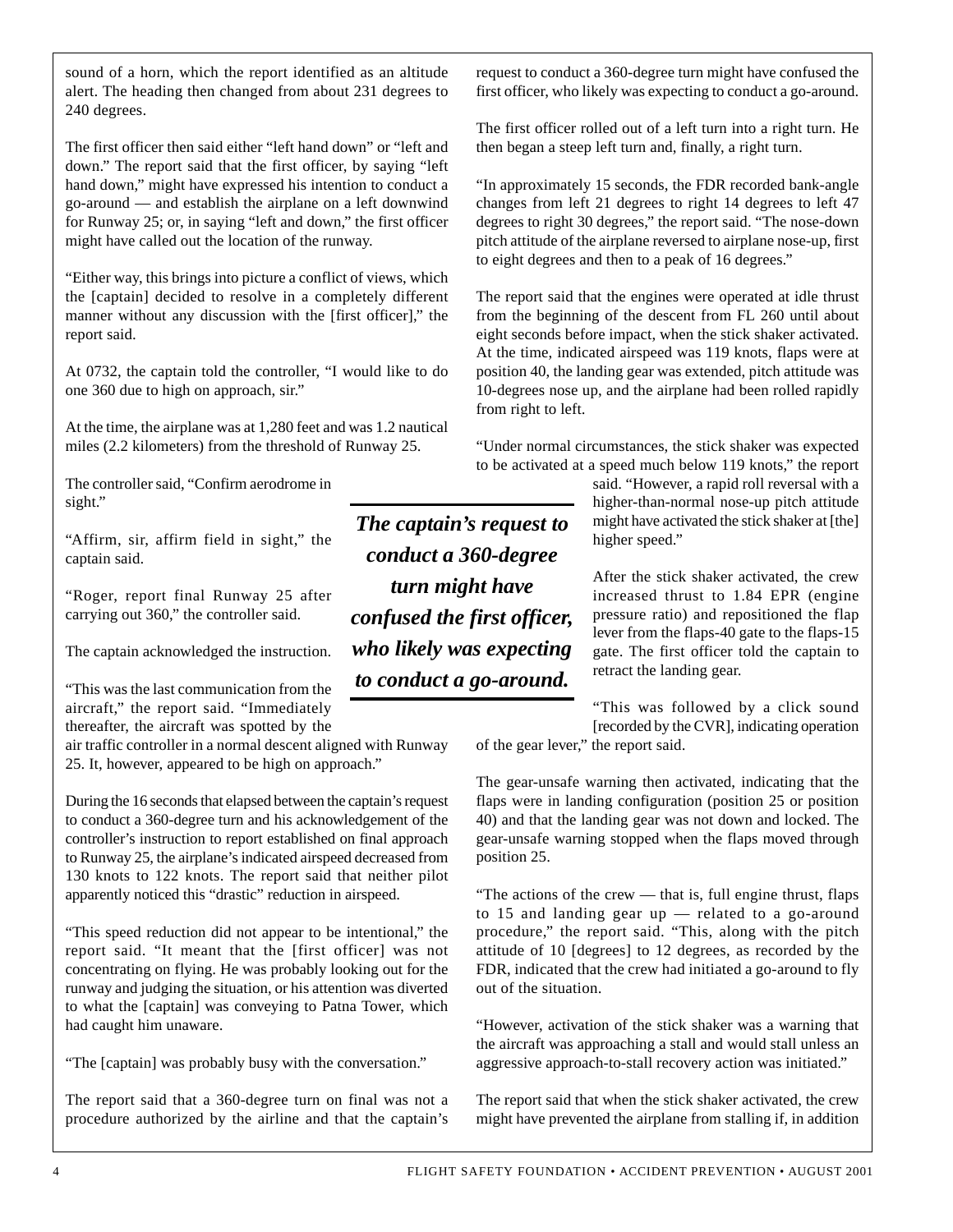sound of a horn, which the report identified as an altitude alert. The heading then changed from about 231 degrees to 240 degrees.

The first officer then said either "left hand down" or "left and down." The report said that the first officer, by saying "left hand down," might have expressed his intention to conduct a go-around — and establish the airplane on a left downwind for Runway 25; or, in saying "left and down," the first officer might have called out the location of the runway.

"Either way, this brings into picture a conflict of views, which the [captain] decided to resolve in a completely different manner without any discussion with the [first officer]," the report said.

At 0732, the captain told the controller, "I would like to do one 360 due to high on approach, sir."

At the time, the airplane was at 1,280 feet and was 1.2 nautical miles (2.2 kilometers) from the threshold of Runway 25.

The controller said, "Confirm aerodrome in sight."

"Affirm, sir, affirm field in sight," the captain said.

"Roger, report final Runway 25 after carrying out 360," the controller said.

The captain acknowledged the instruction.

"This was the last communication from the aircraft," the report said. "Immediately thereafter, the aircraft was spotted by the

air traffic controller in a normal descent aligned with Runway 25. It, however, appeared to be high on approach."

During the 16 seconds that elapsed between the captain's request to conduct a 360-degree turn and his acknowledgement of the controller's instruction to report established on final approach to Runway 25, the airplane's indicated airspeed decreased from 130 knots to 122 knots. The report said that neither pilot apparently noticed this "drastic" reduction in airspeed.

"This speed reduction did not appear to be intentional," the report said. "It meant that the [first officer] was not concentrating on flying. He was probably looking out for the runway and judging the situation, or his attention was diverted to what the [captain] was conveying to Patna Tower, which had caught him unaware.

"The [captain] was probably busy with the conversation."

The report said that a 360-degree turn on final was not a procedure authorized by the airline and that the captain's

*The captain's request to conduct a 360-degree turn might have confused the first officer, who likely was expecting to conduct a go-around.*

request to conduct a 360-degree turn might have confused the first officer, who likely was expecting to conduct a go-around.

The first officer rolled out of a left turn into a right turn. He then began a steep left turn and, finally, a right turn.

"In approximately 15 seconds, the FDR recorded bank-angle changes from left 21 degrees to right 14 degrees to left 47 degrees to right 30 degrees," the report said. "The nose-down pitch attitude of the airplane reversed to airplane nose-up, first to eight degrees and then to a peak of 16 degrees."

The report said that the engines were operated at idle thrust from the beginning of the descent from FL 260 until about eight seconds before impact, when the stick shaker activated. At the time, indicated airspeed was 119 knots, flaps were at position 40, the landing gear was extended, pitch attitude was 10-degrees nose up, and the airplane had been rolled rapidly from right to left.

"Under normal circumstances, the stick shaker was expected to be activated at a speed much below 119 knots," the report

> said. "However, a rapid roll reversal with a higher-than-normal nose-up pitch attitude might have activated the stick shaker at [the] higher speed."

> After the stick shaker activated, the crew increased thrust to 1.84 EPR (engine pressure ratio) and repositioned the flap lever from the flaps-40 gate to the flaps-15 gate. The first officer told the captain to retract the landing gear.

> "This was followed by a click sound [recorded by the CVR], indicating operation

of the gear lever," the report said.

The gear-unsafe warning then activated, indicating that the flaps were in landing configuration (position 25 or position 40) and that the landing gear was not down and locked. The gear-unsafe warning stopped when the flaps moved through position 25.

"The actions of the crew — that is, full engine thrust, flaps to 15 and landing gear up — related to a go-around procedure," the report said. "This, along with the pitch attitude of 10 [degrees] to 12 degrees, as recorded by the FDR, indicated that the crew had initiated a go-around to fly out of the situation.

"However, activation of the stick shaker was a warning that the aircraft was approaching a stall and would stall unless an aggressive approach-to-stall recovery action was initiated."

The report said that when the stick shaker activated, the crew might have prevented the airplane from stalling if, in addition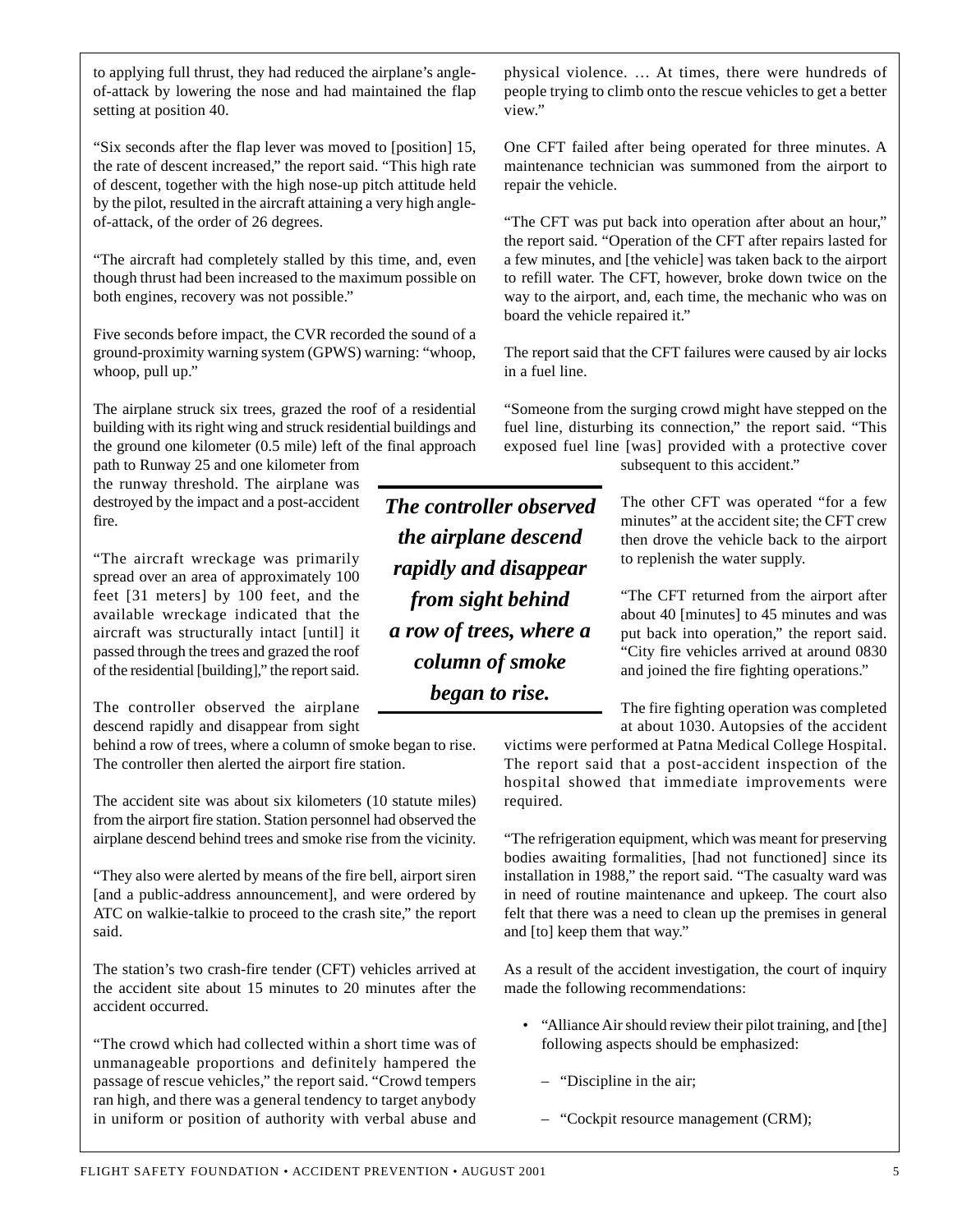to applying full thrust, they had reduced the airplane's angleof-attack by lowering the nose and had maintained the flap setting at position 40.

"Six seconds after the flap lever was moved to [position] 15, the rate of descent increased," the report said. "This high rate of descent, together with the high nose-up pitch attitude held by the pilot, resulted in the aircraft attaining a very high angleof-attack, of the order of 26 degrees.

"The aircraft had completely stalled by this time, and, even though thrust had been increased to the maximum possible on both engines, recovery was not possible."

Five seconds before impact, the CVR recorded the sound of a ground-proximity warning system (GPWS) warning: "whoop, whoop, pull up."

The airplane struck six trees, grazed the roof of a residential building with its right wing and struck residential buildings and the ground one kilometer (0.5 mile) left of the final approach

path to Runway 25 and one kilometer from the runway threshold. The airplane was destroyed by the impact and a post-accident fire.

"The aircraft wreckage was primarily spread over an area of approximately 100 feet [31 meters] by 100 feet, and the available wreckage indicated that the aircraft was structurally intact [until] it passed through the trees and grazed the roof of the residential [building]," the report said.

The controller observed the airplane descend rapidly and disappear from sight

behind a row of trees, where a column of smoke began to rise. The controller then alerted the airport fire station.

The accident site was about six kilometers (10 statute miles) from the airport fire station. Station personnel had observed the airplane descend behind trees and smoke rise from the vicinity.

"They also were alerted by means of the fire bell, airport siren [and a public-address announcement], and were ordered by ATC on walkie-talkie to proceed to the crash site," the report said.

The station's two crash-fire tender (CFT) vehicles arrived at the accident site about 15 minutes to 20 minutes after the accident occurred.

"The crowd which had collected within a short time was of unmanageable proportions and definitely hampered the passage of rescue vehicles," the report said. "Crowd tempers ran high, and there was a general tendency to target anybody in uniform or position of authority with verbal abuse and

*The controller observed the airplane descend rapidly and disappear from sight behind a row of trees, where a column of smoke began to rise.*

physical violence. … At times, there were hundreds of people trying to climb onto the rescue vehicles to get a better view."

One CFT failed after being operated for three minutes. A maintenance technician was summoned from the airport to repair the vehicle.

"The CFT was put back into operation after about an hour," the report said. "Operation of the CFT after repairs lasted for a few minutes, and [the vehicle] was taken back to the airport to refill water. The CFT, however, broke down twice on the way to the airport, and, each time, the mechanic who was on board the vehicle repaired it."

The report said that the CFT failures were caused by air locks in a fuel line.

"Someone from the surging crowd might have stepped on the fuel line, disturbing its connection," the report said. "This exposed fuel line [was] provided with a protective cover subsequent to this accident."

> The other CFT was operated "for a few minutes" at the accident site; the CFT crew then drove the vehicle back to the airport to replenish the water supply.

> "The CFT returned from the airport after about 40 [minutes] to 45 minutes and was put back into operation," the report said. "City fire vehicles arrived at around 0830 and joined the fire fighting operations."

> The fire fighting operation was completed at about 1030. Autopsies of the accident

victims were performed at Patna Medical College Hospital. The report said that a post-accident inspection of the hospital showed that immediate improvements were required.

"The refrigeration equipment, which was meant for preserving bodies awaiting formalities, [had not functioned] since its installation in 1988," the report said. "The casualty ward was in need of routine maintenance and upkeep. The court also felt that there was a need to clean up the premises in general and [to] keep them that way."

As a result of the accident investigation, the court of inquiry made the following recommendations:

- "Alliance Air should review their pilot training, and [the] following aspects should be emphasized:
	- "Discipline in the air;
	- "Cockpit resource management (CRM);